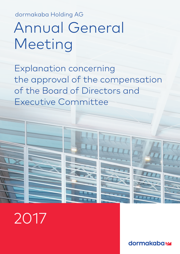dormakaba Holding AG

# Annual General Meeting

Explanation concerning the approval of the compensation of the Board of Directors and Executive Committee



2017

dormakaba<sub>k</sub>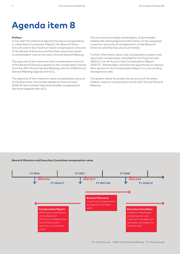# **Agenda item 8**

# **Preface**

In line with the Ordinance Against Excessive Compensation in Listed Stock Companies (VegüV), the Board of Directors will submit the maximum total compensation amounts of the Board of Directors and the Executive Committee to shareholders' vote at this year's Annual General Meeting.

The approval of the maximum total compensation amount of the Board of Directors applies to the compensation period from the 2017 Annual General Meeting until the 2018 Annual General Meeting (agenda item 8.1).

The approval of the maximum total compensation amount of the Executive Committee applies to financial year 2018/19 and includes fixed and variable compensation elements (agenda item 8.2).

This document provides shareholders of dormakaba Holding AG with background information on the requested maximum amounts of compensation of the Board of Directors and the Executive Committee.

Further information about the compensation system and about the compensation awarded for the financial year 2016/17 can be found in the Compensation Report 2016/17. Shareholders will have the opportunity to express their opinion on the Compensation Report in a non-binding retrospective vote.

The graphic below illustrates the structure of the shareholders' votes on compensation at the 2017 Annual General Meeting.

# **Board of Directors and Executive Committee compensation votes**

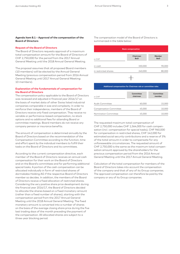# **Agenda item 8.1 – Approval of the compensation of the Board of Directors**

# **Request of the Board of Directors**

The Board of Directors requests approval of a maximum total compensation amount for the Board of Directors of CHF 2,750,000 for the period from the 2017 Annual General Meeting until the 2018 Annual General Meeting.

The proposal assumes that all proposed Board members (10 members) will be elected by the Annual General Meeting (previous compensation period from 2016 Annual General Meeting until 2017 Annual General Meeting: 10 members).

# **Explanation of the fundamentals of compensation for the Board of Directors**

The compensation policy applicable to the Board of Directors was reviewed and adjusted in financial year 2016/17 on the basis of market data of other Swiss listed industrial companies comparable in size and complexity. In order to reinforce their independence, members of the Board of Directors receive only fixed compensation. They receive no variable or performance-based compensation, no stock options and no additional fees for attending Board or committee meetings. Board members do not receive any company pension or insurance benefits.

The amount of compensation is determined annually by the Board of Directors based on the recommendation of the Compensation Committee according to the function, time and effort spent by the individual members to fulfill their tasks on the Board of Directors and its committees.

According to the current compensation directive, each member of the Board of Directors receives an annual cash compensation for their work on the Board of Directors and on the Board's committees and for performing additional special tasks. A portion of the cash compensation can be allocated individually in form of restricted shares of dormakaba Holding AG if the respective Board of Directors member so decides. In addition, the members of the Board of Directors receive a fixed allocation of restricted shares. Considering the very positive share price development during the financial year 2016/17, the Board of Directors decided to allocate the shares based on a fixed monetary amount (rather than a fixed number of shares), starting with the compensation period from the 2017 Annual General Meeting until the 2018 Annual General Meeting. The fixed monetary amount is converted into a number of shares on the basis of the average closing share price during the five last trading days of the month preceding the payment of the compensation. All allocated shares are subject to a three-year blocking period.

The compensation model of the Board of Directors is summarized in the table below:



#### in CHF **Committee chairman Committee member** Audit Committee 60,000 15,000 Compensation Committee 45,000 45,000 10,000

Nomination Committee 45,000 45,000 10,000

**Additional compensation for Chairman role or committee roles**

The requested maximum total compensation of CHF 2,750,000 includes CHF 1,564,000 for cash compensation (incl. compensation for special tasks), CHF 960,000 for compensation in restricted shares, CHF 142,000 for estimated social security contributions and a reserve of 3% of the total amount in order to compensate for any unforeseeable circumstances. The requested amount of CHF 2,750,000 is the same as the maximum total compensation amount approved by the shareholders for the previous compensation period from the 2016 Annual General Meeting until the 2017 Annual General Meeting.

Calculation of the total compensation for members of the Board of Directors takes into account the compensation of the company and that of any of its Group companies. The approved compensation can therefore be paid by the company or any of its Group companies.